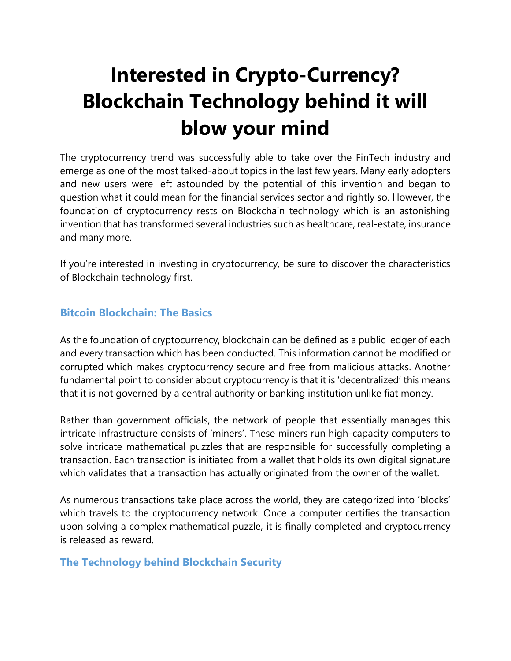## **Interested in Crypto-Currency? Blockchain Technology behind it will blow your mind**

The cryptocurrency trend was successfully able to take over the FinTech industry and emerge as one of the most talked-about topics in the last few years. Many early adopters and new users were left astounded by the potential of this invention and began to question what it could mean for the financial services sector and rightly so. However, the foundation of cryptocurrency rests on Blockchain technology which is an astonishing invention that has transformed several industries such as healthcare, real-estate, insurance and many more.

If you're interested in investing in cryptocurrency, be sure to discover the characteristics of Blockchain technology first.

## **Bitcoin Blockchain: The Basics**

As the foundation of cryptocurrency, blockchain can be defined as a public ledger of each and every transaction which has been conducted. This information cannot be modified or corrupted which makes cryptocurrency secure and free from malicious attacks. Another fundamental point to consider about cryptocurrency is that it is 'decentralized' this means that it is not governed by a central authority or banking institution unlike fiat money.

Rather than government officials, the network of people that essentially manages this intricate infrastructure consists of 'miners'. These miners run high-capacity computers to solve intricate mathematical puzzles that are responsible for successfully completing a transaction. Each transaction is initiated from a wallet that holds its own digital signature which validates that a transaction has actually originated from the owner of the wallet.

As numerous transactions take place across the world, they are categorized into 'blocks' which travels to the cryptocurrency network. Once a computer certifies the transaction upon solving a complex mathematical puzzle, it is finally completed and cryptocurrency is released as reward.

## **The Technology behind Blockchain Security**